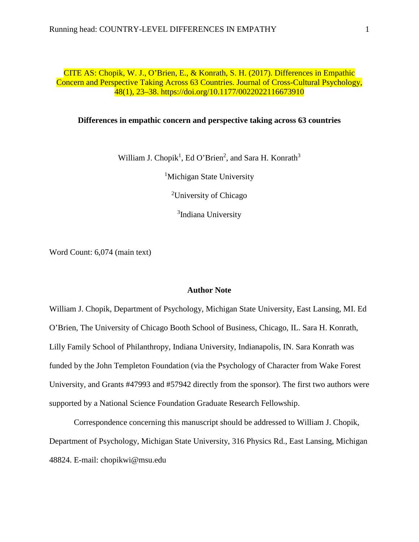CITE AS: Chopik, W. J., O'Brien, E., & Konrath, S. H. (2017). Differences in Empathic Concern and Perspective Taking Across 63 Countries. Journal of Cross-Cultural Psychology, 48(1), 23–38. https://doi.org/10.1177/0022022116673910

# **Differences in empathic concern and perspective taking across 63 countries**

William J. Chopik<sup>1</sup>, Ed O'Brien<sup>2</sup>, and Sara H. Konrath<sup>3</sup>

<sup>1</sup>Michigan State University

<sup>2</sup>University of Chicago

<sup>3</sup>Indiana University

Word Count: 6,074 (main text)

# **Author Note**

William J. Chopik, Department of Psychology, Michigan State University, East Lansing, MI. Ed O'Brien, The University of Chicago Booth School of Business, Chicago, IL. Sara H. Konrath, Lilly Family School of Philanthropy, Indiana University, Indianapolis, IN. Sara Konrath was funded by the John Templeton Foundation (via the Psychology of Character from Wake Forest University, and Grants #47993 and #57942 directly from the sponsor). The first two authors were supported by a National Science Foundation Graduate Research Fellowship.

Correspondence concerning this manuscript should be addressed to William J. Chopik, Department of Psychology, Michigan State University, 316 Physics Rd., East Lansing, Michigan 48824. E-mail: chopikwi@msu.edu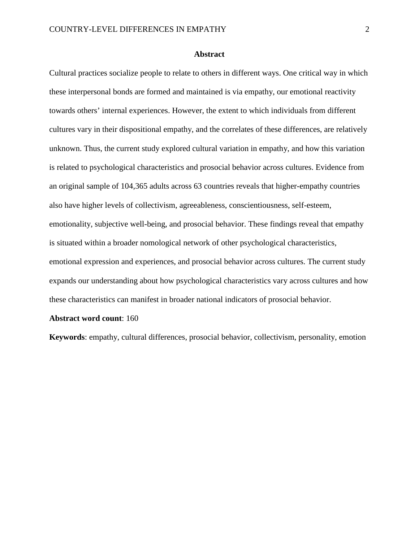# **Abstract**

Cultural practices socialize people to relate to others in different ways. One critical way in which these interpersonal bonds are formed and maintained is via empathy, our emotional reactivity towards others' internal experiences. However, the extent to which individuals from different cultures vary in their dispositional empathy, and the correlates of these differences, are relatively unknown. Thus, the current study explored cultural variation in empathy, and how this variation is related to psychological characteristics and prosocial behavior across cultures. Evidence from an original sample of 104,365 adults across 63 countries reveals that higher-empathy countries also have higher levels of collectivism, agreeableness, conscientiousness, self-esteem, emotionality, subjective well-being, and prosocial behavior. These findings reveal that empathy is situated within a broader nomological network of other psychological characteristics, emotional expression and experiences, and prosocial behavior across cultures. The current study expands our understanding about how psychological characteristics vary across cultures and how these characteristics can manifest in broader national indicators of prosocial behavior.

#### **Abstract word count**: 160

**Keywords**: empathy, cultural differences, prosocial behavior, collectivism, personality, emotion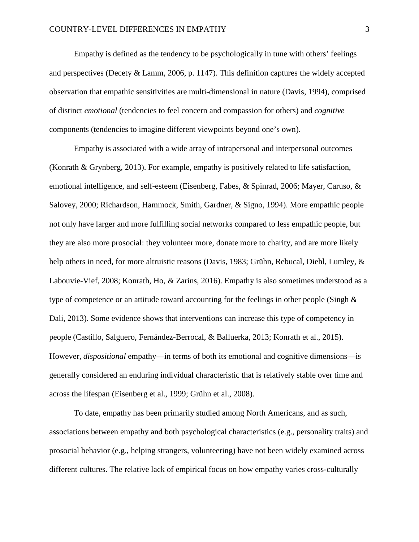Empathy is defined as the tendency to be psychologically in tune with others' feelings and perspectives [\(Decety & Lamm, 2006, p. 1147\)](#page-25-0). This definition captures the widely accepted observation that empathic sensitivities are multi-dimensional in nature [\(Davis, 1994\)](#page-25-1), comprised of distinct *emotional* (tendencies to feel concern and compassion for others) and *cognitive* components (tendencies to imagine different viewpoints beyond one's own).

Empathy is associated with a wide array of intrapersonal and interpersonal outcomes [\(Konrath & Grynberg, 2013\)](#page-28-0). For example, empathy is positively related to life satisfaction, emotional intelligence, and self-esteem [\(Eisenberg, Fabes, & Spinrad, 2006;](#page-25-2) [Mayer, Caruso, &](#page-29-0)  [Salovey, 2000;](#page-29-0) [Richardson, Hammock, Smith, Gardner, & Signo, 1994\)](#page-30-0). More empathic people not only have larger and more fulfilling social networks compared to less empathic people, but they are also more prosocial: they volunteer more, donate more to charity, and are more likely help others in need, for more altruistic reasons [\(Davis, 1983;](#page-25-3) Grühn, Rebucal, Diehl, Lumley, & [Labouvie-Vief, 2008;](#page-26-0) [Konrath, Ho, & Zarins, 2016\)](#page-28-1). Empathy is also sometimes understood as a type of competence or an attitude toward accounting for the feelings in other people (Singh  $\&$ [Dali, 2013\)](#page-31-0). Some evidence shows that interventions can increase this type of competency in people [\(Castillo, Salguero, Fernández-Berrocal, & Balluerka, 2013;](#page-24-0) [Konrath et al., 2015\)](#page-28-2). However, *dispositional* empathy—in terms of both its emotional and cognitive dimensions—is generally considered an enduring individual characteristic that is relatively stable over time and across the lifespan [\(Eisenberg et al., 1999;](#page-26-1) [Grühn et al., 2008\)](#page-26-0).

To date, empathy has been primarily studied among North Americans, and as such, associations between empathy and both psychological characteristics (e.g., personality traits) and prosocial behavior (e.g., helping strangers, volunteering) have not been widely examined across different cultures. The relative lack of empirical focus on how empathy varies cross-culturally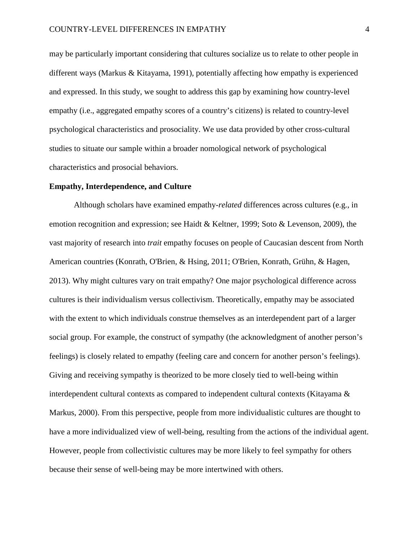may be particularly important considering that cultures socialize us to relate to other people in different ways [\(Markus & Kitayama, 1991\)](#page-29-1), potentially affecting how empathy is experienced and expressed. In this study, we sought to address this gap by examining how country-level empathy (i.e., aggregated empathy scores of a country's citizens) is related to country-level psychological characteristics and prosociality. We use data provided by other cross-cultural studies to situate our sample within a broader nomological network of psychological characteristics and prosocial behaviors.

# **Empathy, Interdependence, and Culture**

Although scholars have examined empathy-*related* differences across cultures (e.g., in emotion recognition and expression; see [Haidt & Keltner, 1999;](#page-26-2) [Soto & Levenson, 2009\)](#page-31-1), the vast majority of research into *trait* empathy focuses on people of Caucasian descent from North American countries [\(Konrath, O'Brien, & Hsing, 2011;](#page-28-3) [O'Brien, Konrath, Grühn, & Hagen,](#page-29-2)  [2013\)](#page-29-2). Why might cultures vary on trait empathy? One major psychological difference across cultures is their individualism versus collectivism. Theoretically, empathy may be associated with the extent to which individuals construe themselves as an interdependent part of a larger social group. For example, the construct of sympathy (the acknowledgment of another person's feelings) is closely related to empathy (feeling care and concern for another person's feelings). Giving and receiving sympathy is theorized to be more closely tied to well-being within interdependent cultural contexts as compared to independent cultural contexts [\(Kitayama &](#page-28-4)  [Markus, 2000\)](#page-28-4). From this perspective, people from more individualistic cultures are thought to have a more individualized view of well-being, resulting from the actions of the individual agent. However, people from collectivistic cultures may be more likely to feel sympathy for others because their sense of well-being may be more intertwined with others.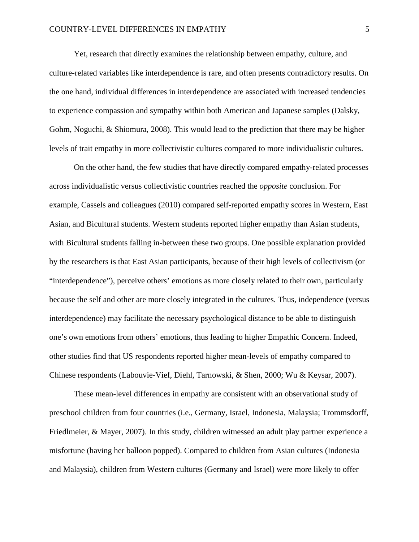Yet, research that directly examines the relationship between empathy, culture, and culture-related variables like interdependence is rare, and often presents contradictory results. On the one hand, individual differences in interdependence are associated with increased tendencies to experience compassion and sympathy within both American and Japanese samples [\(Dalsky,](#page-25-4)  [Gohm, Noguchi, & Shiomura, 2008\)](#page-25-4). This would lead to the prediction that there may be higher levels of trait empathy in more collectivistic cultures compared to more individualistic cultures.

On the other hand, the few studies that have directly compared empathy-related processes across individualistic versus collectivistic countries reached the *opposite* conclusion. For example, Cassels and colleagues [\(2010\)](#page-24-1) compared self-reported empathy scores in Western, East Asian, and Bicultural students. Western students reported higher empathy than Asian students, with Bicultural students falling in-between these two groups. One possible explanation provided by the researchers is that East Asian participants, because of their high levels of collectivism (or "interdependence"), perceive others' emotions as more closely related to their own, particularly because the self and other are more closely integrated in the cultures. Thus, independence (versus interdependence) may facilitate the necessary psychological distance to be able to distinguish one's own emotions from others' emotions, thus leading to higher Empathic Concern. Indeed, other studies find that US respondents reported higher mean-levels of empathy compared to Chinese respondents [\(Labouvie-Vief, Diehl, Tarnowski, & Shen, 2000;](#page-28-5) [Wu & Keysar, 2007\)](#page-32-0).

These mean-level differences in empathy are consistent with an observational study of preschool children from four countries [\(i.e., Germany, Israel, Indonesia, Malaysia; Trommsdorff,](#page-31-2)  [Friedlmeier, & Mayer, 2007\)](#page-31-2). In this study, children witnessed an adult play partner experience a misfortune (having her balloon popped). Compared to children from Asian cultures (Indonesia and Malaysia), children from Western cultures (Germany and Israel) were more likely to offer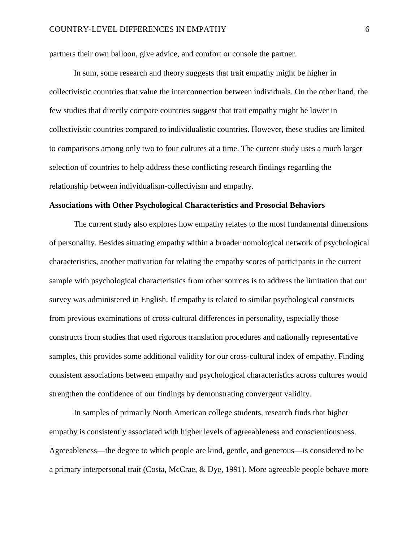partners their own balloon, give advice, and comfort or console the partner.

In sum, some research and theory suggests that trait empathy might be higher in collectivistic countries that value the interconnection between individuals. On the other hand, the few studies that directly compare countries suggest that trait empathy might be lower in collectivistic countries compared to individualistic countries. However, these studies are limited to comparisons among only two to four cultures at a time. The current study uses a much larger selection of countries to help address these conflicting research findings regarding the relationship between individualism-collectivism and empathy.

#### **Associations with Other Psychological Characteristics and Prosocial Behaviors**

The current study also explores how empathy relates to the most fundamental dimensions of personality. Besides situating empathy within a broader nomological network of psychological characteristics, another motivation for relating the empathy scores of participants in the current sample with psychological characteristics from other sources is to address the limitation that our survey was administered in English. If empathy is related to similar psychological constructs from previous examinations of cross-cultural differences in personality, especially those constructs from studies that used rigorous translation procedures and nationally representative samples, this provides some additional validity for our cross-cultural index of empathy. Finding consistent associations between empathy and psychological characteristics across cultures would strengthen the confidence of our findings by demonstrating convergent validity.

In samples of primarily North American college students, research finds that higher empathy is consistently associated with higher levels of agreeableness and conscientiousness. Agreeableness—the degree to which people are kind, gentle, and generous—is considered to be a primary interpersonal trait [\(Costa, McCrae, & Dye, 1991\)](#page-25-5). More agreeable people behave more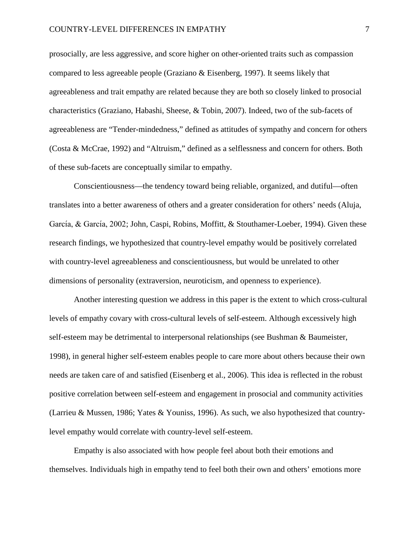prosocially, are less aggressive, and score higher on other-oriented traits such as compassion compared to less agreeable people (Graziano  $\&$  Eisenberg, 1997). It seems likely that agreeableness and trait empathy are related because they are both so closely linked to prosocial characteristics [\(Graziano, Habashi, Sheese, & Tobin, 2007\)](#page-26-4). Indeed, two of the sub-facets of agreeableness are "Tender-mindedness," defined as attitudes of sympathy and concern for others [\(Costa & McCrae, 1992\)](#page-25-6) and "Altruism," defined as a selflessness and concern for others. Both of these sub-facets are conceptually similar to empathy.

Conscientiousness—the tendency toward being reliable, organized, and dutiful—often translates into a better awareness of others and a greater consideration for others' needs [\(Aluja,](#page-24-2)  García, & García, 2002; [John, Caspi, Robins, Moffitt, & Stouthamer-Loeber, 1994\)](#page-27-0). Given these research findings, we hypothesized that country-level empathy would be positively correlated with country-level agreeableness and conscientiousness, but would be unrelated to other dimensions of personality (extraversion, neuroticism, and openness to experience).

Another interesting question we address in this paper is the extent to which cross-cultural levels of empathy covary with cross-cultural levels of self-esteem. Although excessively high self-esteem may be detrimental to interpersonal relationships [\(see Bushman & Baumeister,](#page-24-3)  [1998\)](#page-24-3), in general higher self-esteem enables people to care more about others because their own needs are taken care of and satisfied [\(Eisenberg et al., 2006\)](#page-25-2). This idea is reflected in the robust positive correlation between self-esteem and engagement in prosocial and community activities [\(Larrieu & Mussen, 1986;](#page-28-6) [Yates & Youniss, 1996\)](#page-32-1). As such, we also hypothesized that countrylevel empathy would correlate with country-level self-esteem.

Empathy is also associated with how people feel about both their emotions and themselves. Individuals high in empathy tend to feel both their own and others' emotions more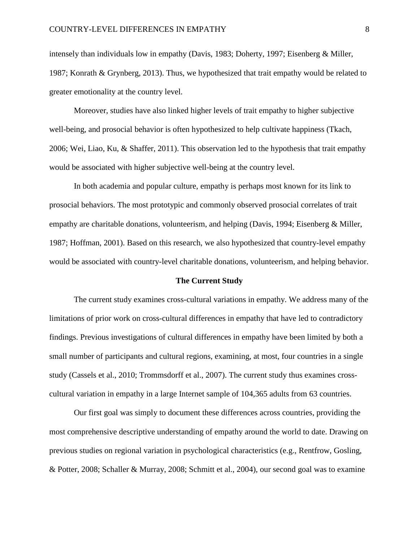intensely than individuals low in empathy [\(Davis, 1983;](#page-25-3) [Doherty, 1997;](#page-25-7) [Eisenberg & Miller,](#page-26-5)  [1987;](#page-26-5) [Konrath & Grynberg, 2013\)](#page-28-0). Thus, we hypothesized that trait empathy would be related to greater emotionality at the country level.

Moreover, studies have also linked higher levels of trait empathy to higher subjective well-being, and prosocial behavior is often hypothesized to help cultivate happiness [\(Tkach,](#page-31-3)  [2006;](#page-31-3) [Wei, Liao, Ku, & Shaffer, 2011\)](#page-32-2). This observation led to the hypothesis that trait empathy would be associated with higher subjective well-being at the country level.

In both academia and popular culture, empathy is perhaps most known for its link to prosocial behaviors. The most prototypic and commonly observed prosocial correlates of trait empathy are charitable donations, volunteerism, and helping [\(Davis, 1994;](#page-25-1) [Eisenberg & Miller,](#page-26-5)  [1987;](#page-26-5) [Hoffman, 2001\)](#page-27-1). Based on this research, we also hypothesized that country-level empathy would be associated with country-level charitable donations, volunteerism, and helping behavior.

#### **The Current Study**

The current study examines cross-cultural variations in empathy. We address many of the limitations of prior work on cross-cultural differences in empathy that have led to contradictory findings. Previous investigations of cultural differences in empathy have been limited by both a small number of participants and cultural regions, examining, at most, four countries in a single study [\(Cassels et al., 2010;](#page-24-1) [Trommsdorff et al., 2007\)](#page-31-2). The current study thus examines crosscultural variation in empathy in a large Internet sample of 104,365 adults from 63 countries.

Our first goal was simply to document these differences across countries, providing the most comprehensive descriptive understanding of empathy around the world to date. Drawing on previous studies on regional variation in psychological characteristics (e.g., [Rentfrow, Gosling,](#page-30-1)  [& Potter, 2008;](#page-30-1) [Schaller & Murray, 2008;](#page-30-2) [Schmitt et al., 2004\)](#page-30-3), our second goal was to examine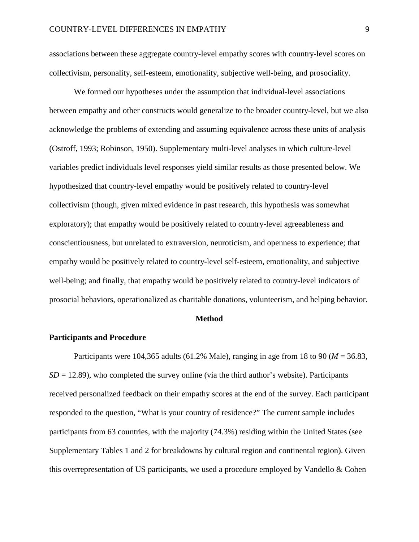associations between these aggregate country-level empathy scores with country-level scores on collectivism, personality, self-esteem, emotionality, subjective well-being, and prosociality.

We formed our hypotheses under the assumption that individual-level associations between empathy and other constructs would generalize to the broader country-level, but we also acknowledge the problems of extending and assuming equivalence across these units of analysis [\(Ostroff, 1993;](#page-29-3) [Robinson, 1950\)](#page-30-4). Supplementary multi-level analyses in which culture-level variables predict individuals level responses yield similar results as those presented below. We hypothesized that country-level empathy would be positively related to country-level collectivism (though, given mixed evidence in past research, this hypothesis was somewhat exploratory); that empathy would be positively related to country-level agreeableness and conscientiousness, but unrelated to extraversion, neuroticism, and openness to experience; that empathy would be positively related to country-level self-esteem, emotionality, and subjective well-being; and finally, that empathy would be positively related to country-level indicators of prosocial behaviors, operationalized as charitable donations, volunteerism, and helping behavior.

#### **Method**

# **Participants and Procedure**

Participants were 104,365 adults (61.2% Male), ranging in age from 18 to 90 (*M* = 36.83,  $SD = 12.89$ ), who completed the survey online (via the third author's website). Participants received personalized feedback on their empathy scores at the end of the survey. Each participant responded to the question, "What is your country of residence?" The current sample includes participants from 63 countries, with the majority (74.3%) residing within the United States (see Supplementary Tables 1 and 2 for breakdowns by cultural region and continental region). Given this overrepresentation of US participants, we used a procedure employed by Vandello & Cohen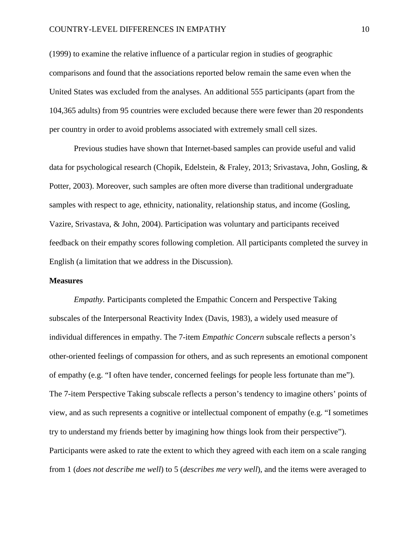# COUNTRY-LEVEL DIFFERENCES IN EMPATHY 10

[\(1999\)](#page-32-3) to examine the relative influence of a particular region in studies of geographic comparisons and found that the associations reported below remain the same even when the United States was excluded from the analyses. An additional 555 participants (apart from the 104,365 adults) from 95 countries were excluded because there were fewer than 20 respondents per country in order to avoid problems associated with extremely small cell sizes.

Previous studies have shown that Internet-based samples can provide useful and valid data for psychological research [\(Chopik, Edelstein, & Fraley, 2013;](#page-25-8) [Srivastava, John, Gosling, &](#page-31-4)  [Potter, 2003\)](#page-31-4). Moreover, such samples are often more diverse than traditional undergraduate samples with respect to age, ethnicity, nationality, relationship status, and income [\(Gosling,](#page-26-6)  [Vazire, Srivastava, & John, 2004\)](#page-26-6). Participation was voluntary and participants received feedback on their empathy scores following completion. All participants completed the survey in English (a limitation that we address in the Discussion).

## **Measures**

*Empathy.* Participants completed the Empathic Concern and Perspective Taking subscales of the Interpersonal Reactivity Index [\(Davis, 1983\)](#page-25-3), a widely used measure of individual differences in empathy. The 7-item *Empathic Concern* subscale reflects a person's other-oriented feelings of compassion for others, and as such represents an emotional component of empathy (e.g. "I often have tender, concerned feelings for people less fortunate than me"). The 7-item Perspective Taking subscale reflects a person's tendency to imagine others' points of view, and as such represents a cognitive or intellectual component of empathy (e.g. "I sometimes try to understand my friends better by imagining how things look from their perspective"). Participants were asked to rate the extent to which they agreed with each item on a scale ranging from 1 (*does not describe me well*) to 5 (*describes me very well*), and the items were averaged to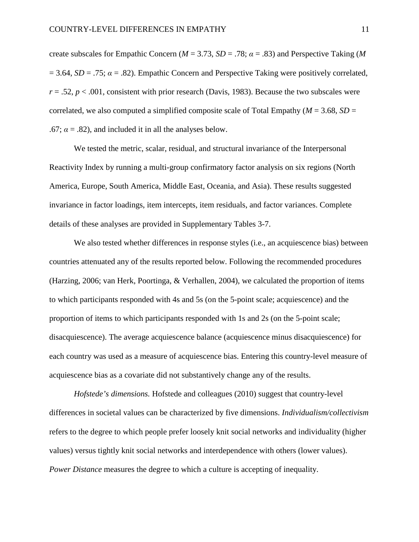create subscales for Empathic Concern ( $M = 3.73$ ,  $SD = .78$ ;  $\alpha = .83$ ) and Perspective Taking (*M*  $= 3.64$ , *SD* = .75;  $\alpha = .82$ ). Empathic Concern and Perspective Taking were positively correlated,  $r = .52$ ,  $p < .001$ , consistent with prior research [\(Davis, 1983\)](#page-25-3). Because the two subscales were correlated, we also computed a simplified composite scale of Total Empathy ( $M = 3.68$ ,  $SD =$ .67;  $\alpha$  = .82), and included it in all the analyses below.

We tested the metric, scalar, residual, and structural invariance of the Interpersonal Reactivity Index by running a multi-group confirmatory factor analysis on six regions (North America, Europe, South America, Middle East, Oceania, and Asia). These results suggested invariance in factor loadings, item intercepts, item residuals, and factor variances. Complete details of these analyses are provided in Supplementary Tables 3-7.

We also tested whether differences in response styles (i.e., an acquiescence bias) between countries attenuated any of the results reported below. Following the recommended procedures [\(Harzing, 2006;](#page-27-2) [van Herk, Poortinga, & Verhallen, 2004\)](#page-32-4), we calculated the proportion of items to which participants responded with 4s and 5s (on the 5-point scale; acquiescence) and the proportion of items to which participants responded with 1s and 2s (on the 5-point scale; disacquiescence). The average acquiescence balance (acquiescence minus disacquiescence) for each country was used as a measure of acquiescence bias. Entering this country-level measure of acquiescence bias as a covariate did not substantively change any of the results.

*Hofstede's dimensions.* Hofstede and colleagues [\(2010\)](#page-27-3) suggest that country-level differences in societal values can be characterized by five dimensions. *Individualism/collectivism* refers to the degree to which people prefer loosely knit social networks and individuality (higher values) versus tightly knit social networks and interdependence with others (lower values). *Power Distance* measures the degree to which a culture is accepting of inequality.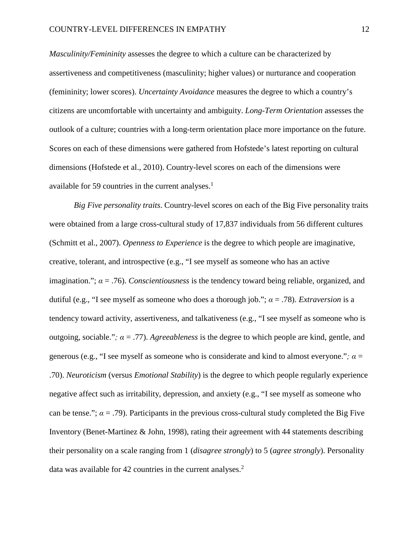*Masculinity/Femininity* assesses the degree to which a culture can be characterized by assertiveness and competitiveness (masculinity; higher values) or nurturance and cooperation (femininity; lower scores). *Uncertainty Avoidance* measures the degree to which a country's citizens are uncomfortable with uncertainty and ambiguity. *Long-Term Orientation* assesses the outlook of a culture; countries with a long-term orientation place more importance on the future. Scores on each of these dimensions were gathered from Hofstede's latest reporting on cultural dimensions [\(Hofstede et al., 2010\)](#page-27-3). Country-level scores on each of the dimensions were available for 59 countries in the current analyses. $<sup>1</sup>$ </sup>

*Big Five personality traits*. Country-level scores on each of the Big Five personality traits were obtained from a large cross-cultural study of 17,837 individuals from 56 different cultures [\(Schmitt et al., 2007\)](#page-31-5). *Openness to Experience* is the degree to which people are imaginative, creative, tolerant, and introspective (e.g., "I see myself as someone who has an active imagination."; *α* = .76). *Conscientiousness* is the tendency toward being reliable, organized, and dutiful (e.g., "I see myself as someone who does a thorough job."; *α* = .78). *Extraversion* is a tendency toward activity, assertiveness, and talkativeness (e.g., "I see myself as someone who is outgoing, sociable.";  $\alpha = .77$ ). *Agreeableness* is the degree to which people are kind, gentle, and generous (e.g., "I see myself as someone who is considerate and kind to almost everyone.";  $\alpha$  = .70). *Neuroticism* (versus *Emotional Stability*) is the degree to which people regularly experience negative affect such as irritability, depression, and anxiety (e.g., "I see myself as someone who can be tense.";  $\alpha = .79$ ). Participants in the previous cross-cultural study completed the Big Five Inventory [\(Benet-Martinez & John, 1998\)](#page-24-4), rating their agreement with 44 statements describing their personality on a scale ranging from 1 (*disagree strongly*) to 5 (*agree strongly*). Personality data was available for 42 countries in the current analyses.<sup>2</sup>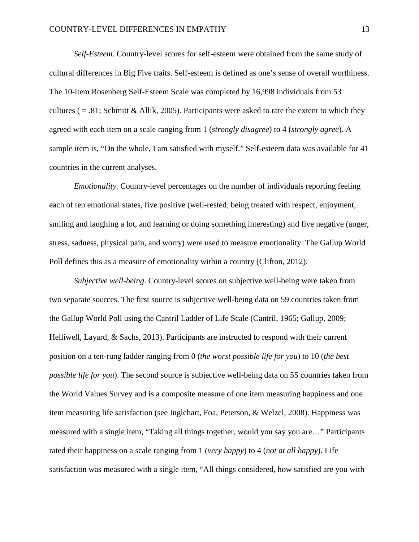*Self-Esteem*. Country-level scores for self-esteem were obtained from the same study of cultural differences in Big Five traits. Self-esteem is defined as one's sense of overall worthiness. The 10-item Rosenberg Self-Esteem Scale was completed by 16,998 individuals from 53 cultures ( $= .81$ ; Schmitt & Allik, 2005). Participants were asked to rate the extent to which they agreed with each item on a scale ranging from 1 (*strongly disagree*) to 4 (*strongly agree*). A sample item is, "On the whole, I am satisfied with myself." Self-esteem data was available for 41 countries in the current analyses.

*Emotionality.* Country-level percentages on the number of individuals reporting feeling each of ten emotional states, five positive (well-rested, being treated with respect, enjoyment, smiling and laughing a lot, and learning or doing something interesting) and five negative (anger, stress, sadness, physical pain, and worry) were used to measure emotionality. The Gallup World Poll defines this as a measure of emotionality within a country [\(Clifton, 2012\)](#page-25-9).

*Subjective well-being*. Country-level scores on subjective well-being were taken from two separate sources. The first source is subjective well-being data on 59 countries taken from the Gallup World Poll using the Cantril Ladder of Life Scale [\(Cantril, 1965;](#page-24-5) [Gallup, 2009;](#page-26-7) [Helliwell, Layard, & Sachs, 2013\)](#page-27-4). Participants are instructed to respond with their current position on a ten-rung ladder ranging from 0 (*the worst possible life for you*) to 10 (*the best possible life for you*). The second source is subjective well-being data on 55 countries taken from the World Values Survey and is a composite measure of one item measuring happiness and one item measuring life satisfaction [\(see Inglehart, Foa, Peterson, & Welzel, 2008\)](#page-27-5). Happiness was measured with a single item, "Taking all things together, would you say you are…" Participants rated their happiness on a scale ranging from 1 (*very happy*) to 4 (*not at all happy*). Life satisfaction was measured with a single item, "All things considered, how satisfied are you with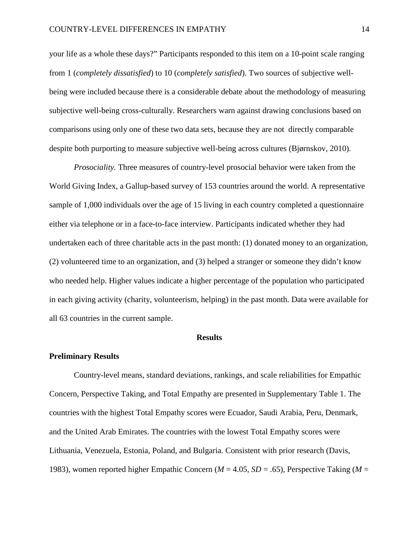your life as a whole these days?" Participants responded to this item on a 10-point scale ranging from 1 (*completely dissatisfied*) to 10 (*completely satisfied*). Two sources of subjective wellbeing were included because there is a considerable debate about the methodology of measuring subjective well-being cross-culturally. Researchers warn against drawing conclusions based on comparisons using only one of these two data sets, because they are not directly comparable despite both purporting to measure subjective well-being across cultures [\(Bjørnskov, 2010\)](#page-24-6).

*Prosociality.* Three measures of country-level prosocial behavior were taken from the World Giving Index, a Gallup-based survey of 153 countries around the world. A representative sample of 1,000 individuals over the age of 15 living in each country completed a questionnaire either via telephone or in a face-to-face interview. Participants indicated whether they had undertaken each of three charitable acts in the past month: (1) donated money to an organization, (2) volunteered time to an organization, and (3) helped a stranger or someone they didn't know who needed help. Higher values indicate a higher percentage of the population who participated in each giving activity (charity, volunteerism, helping) in the past month. Data were available for all 63 countries in the current sample.

#### **Results**

#### **Preliminary Results**

Country-level means, standard deviations, rankings, and scale reliabilities for Empathic Concern, Perspective Taking, and Total Empathy are presented in Supplementary Table 1. The countries with the highest Total Empathy scores were Ecuador, Saudi Arabia, Peru, Denmark, and the United Arab Emirates. The countries with the lowest Total Empathy scores were Lithuania, Venezuela, Estonia, Poland, and Bulgaria. Consistent with prior research [\(Davis,](#page-25-3)  [1983\)](#page-25-3), women reported higher Empathic Concern (*M* = 4.05, *SD* = .65), Perspective Taking (*M* =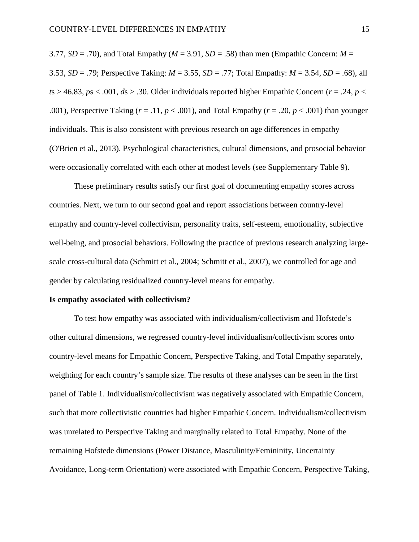3.77,  $SD = .70$ ), and Total Empathy ( $M = 3.91$ ,  $SD = .58$ ) than men (Empathic Concern:  $M =$ 3.53, *SD* = .79; Perspective Taking: *M* = 3.55, *SD* = .77; Total Empathy: *M* = 3.54, *SD* = .68), all  $t$ s > 46.83,  $p$ s < .001,  $ds$  > .30. Older individuals reported higher Empathic Concern ( $r = .24$ ,  $p <$ .001), Perspective Taking  $(r = .11, p < .001)$ , and Total Empathy  $(r = .20, p < .001)$  than younger individuals. This is also consistent with previous research on age differences in empathy [\(O'Brien et al., 2013\)](#page-29-2). Psychological characteristics, cultural dimensions, and prosocial behavior were occasionally correlated with each other at modest levels (see Supplementary Table 9).

These preliminary results satisfy our first goal of documenting empathy scores across countries. Next, we turn to our second goal and report associations between country-level empathy and country-level collectivism, personality traits, self-esteem, emotionality, subjective well-being, and prosocial behaviors. Following the practice of previous research analyzing largescale cross-cultural data [\(Schmitt et al., 2004;](#page-30-3) [Schmitt et al., 2007\)](#page-31-5), we controlled for age and gender by calculating residualized country-level means for empathy.

#### **Is empathy associated with collectivism?**

To test how empathy was associated with individualism/collectivism and Hofstede's other cultural dimensions, we regressed country-level individualism/collectivism scores onto country-level means for Empathic Concern, Perspective Taking, and Total Empathy separately, weighting for each country's sample size. The results of these analyses can be seen in the first panel of Table 1. Individualism/collectivism was negatively associated with Empathic Concern, such that more collectivistic countries had higher Empathic Concern. Individualism/collectivism was unrelated to Perspective Taking and marginally related to Total Empathy. None of the remaining Hofstede dimensions (Power Distance, Masculinity/Femininity, Uncertainty Avoidance, Long-term Orientation) were associated with Empathic Concern, Perspective Taking,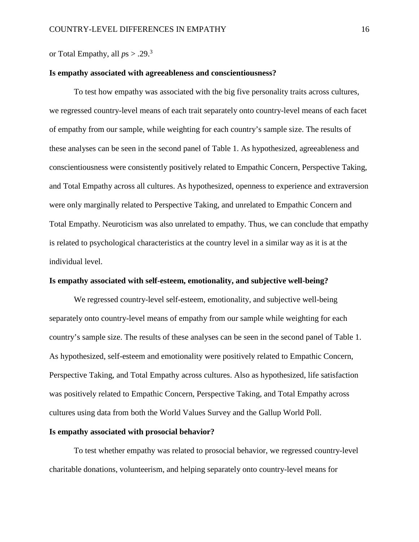or Total Empathy, all  $ps > .29$ .<sup>3</sup>

## **Is empathy associated with agreeableness and conscientiousness?**

To test how empathy was associated with the big five personality traits across cultures, we regressed country-level means of each trait separately onto country-level means of each facet of empathy from our sample, while weighting for each country's sample size. The results of these analyses can be seen in the second panel of Table 1. As hypothesized, agreeableness and conscientiousness were consistently positively related to Empathic Concern, Perspective Taking, and Total Empathy across all cultures. As hypothesized, openness to experience and extraversion were only marginally related to Perspective Taking, and unrelated to Empathic Concern and Total Empathy. Neuroticism was also unrelated to empathy. Thus, we can conclude that empathy is related to psychological characteristics at the country level in a similar way as it is at the individual level.

## **Is empathy associated with self-esteem, emotionality, and subjective well-being?**

We regressed country-level self-esteem, emotionality, and subjective well-being separately onto country-level means of empathy from our sample while weighting for each country's sample size. The results of these analyses can be seen in the second panel of Table 1. As hypothesized, self-esteem and emotionality were positively related to Empathic Concern, Perspective Taking, and Total Empathy across cultures. Also as hypothesized, life satisfaction was positively related to Empathic Concern, Perspective Taking, and Total Empathy across cultures using data from both the World Values Survey and the Gallup World Poll.

# **Is empathy associated with prosocial behavior?**

To test whether empathy was related to prosocial behavior, we regressed country-level charitable donations, volunteerism, and helping separately onto country-level means for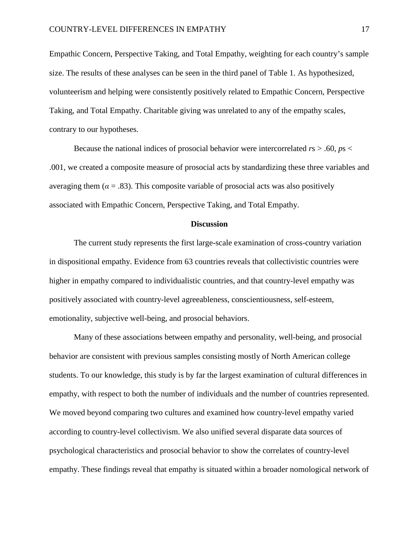Empathic Concern, Perspective Taking, and Total Empathy, weighting for each country's sample size. The results of these analyses can be seen in the third panel of Table 1. As hypothesized, volunteerism and helping were consistently positively related to Empathic Concern, Perspective Taking, and Total Empathy. Charitable giving was unrelated to any of the empathy scales, contrary to our hypotheses.

Because the national indices of prosocial behavior were intercorrelated *r*s > .60, *p*s < .001, we created a composite measure of prosocial acts by standardizing these three variables and averaging them ( $\alpha = .83$ ). This composite variable of prosocial acts was also positively associated with Empathic Concern, Perspective Taking, and Total Empathy.

#### **Discussion**

The current study represents the first large-scale examination of cross-country variation in dispositional empathy. Evidence from 63 countries reveals that collectivistic countries were higher in empathy compared to individualistic countries, and that country-level empathy was positively associated with country-level agreeableness, conscientiousness, self-esteem, emotionality, subjective well-being, and prosocial behaviors.

Many of these associations between empathy and personality, well-being, and prosocial behavior are consistent with previous samples consisting mostly of North American college students. To our knowledge, this study is by far the largest examination of cultural differences in empathy, with respect to both the number of individuals and the number of countries represented. We moved beyond comparing two cultures and examined how country-level empathy varied according to country-level collectivism. We also unified several disparate data sources of psychological characteristics and prosocial behavior to show the correlates of country-level empathy. These findings reveal that empathy is situated within a broader nomological network of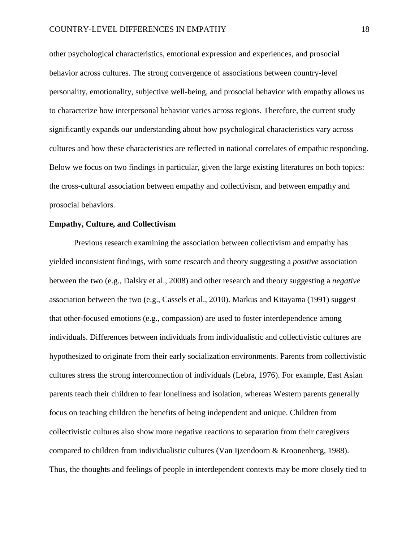other psychological characteristics, emotional expression and experiences, and prosocial behavior across cultures. The strong convergence of associations between country-level personality, emotionality, subjective well-being, and prosocial behavior with empathy allows us to characterize how interpersonal behavior varies across regions. Therefore, the current study significantly expands our understanding about how psychological characteristics vary across cultures and how these characteristics are reflected in national correlates of empathic responding. Below we focus on two findings in particular, given the large existing literatures on both topics: the cross-cultural association between empathy and collectivism, and between empathy and prosocial behaviors.

# **Empathy, Culture, and Collectivism**

Previous research examining the association between collectivism and empathy has yielded inconsistent findings, with some research and theory suggesting a *positive* association between the two [\(e.g., Dalsky et al., 2008\)](#page-25-4) and other research and theory suggesting a *negative* association between the two [\(e.g., Cassels et al., 2010\)](#page-24-1). Markus and Kitayama [\(1991\)](#page-29-1) suggest that other-focused emotions (e.g., compassion) are used to foster interdependence among individuals. Differences between individuals from individualistic and collectivistic cultures are hypothesized to originate from their early socialization environments. Parents from collectivistic cultures stress the strong interconnection of individuals [\(Lebra, 1976\)](#page-29-4). For example, East Asian parents teach their children to fear loneliness and isolation, whereas Western parents generally focus on teaching children the benefits of being independent and unique. Children from collectivistic cultures also show more negative reactions to separation from their caregivers compared to children from individualistic cultures [\(Van Ijzendoorn & Kroonenberg, 1988\)](#page-32-5). Thus, the thoughts and feelings of people in interdependent contexts may be more closely tied to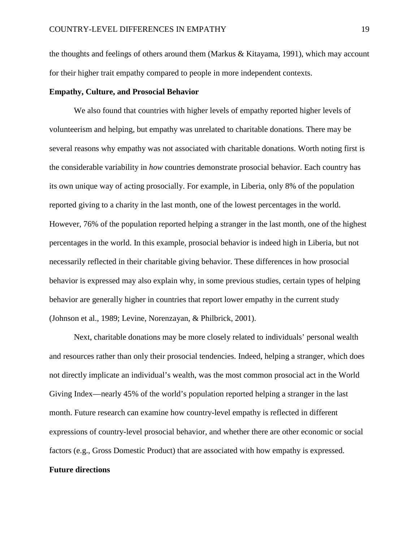the thoughts and feelings of others around them [\(Markus & Kitayama, 1991\)](#page-29-1), which may account for their higher trait empathy compared to people in more independent contexts.

# **Empathy, Culture, and Prosocial Behavior**

We also found that countries with higher levels of empathy reported higher levels of volunteerism and helping, but empathy was unrelated to charitable donations. There may be several reasons why empathy was not associated with charitable donations. Worth noting first is the considerable variability in *how* countries demonstrate prosocial behavior. Each country has its own unique way of acting prosocially. For example, in Liberia, only 8% of the population reported giving to a charity in the last month, one of the lowest percentages in the world. However, 76% of the population reported helping a stranger in the last month, one of the highest percentages in the world. In this example, prosocial behavior is indeed high in Liberia, but not necessarily reflected in their charitable giving behavior. These differences in how prosocial behavior is expressed may also explain why, in some previous studies, certain types of helping behavior are generally higher in countries that report lower empathy in the current study [\(Johnson et al., 1989;](#page-28-7) [Levine, Norenzayan, & Philbrick, 2001\)](#page-29-5).

Next, charitable donations may be more closely related to individuals' personal wealth and resources rather than only their prosocial tendencies. Indeed, helping a stranger, which does not directly implicate an individual's wealth, was the most common prosocial act in the World Giving Index—nearly 45% of the world's population reported helping a stranger in the last month. Future research can examine how country-level empathy is reflected in different expressions of country-level prosocial behavior, and whether there are other economic or social factors (e.g., Gross Domestic Product) that are associated with how empathy is expressed.

# **Future directions**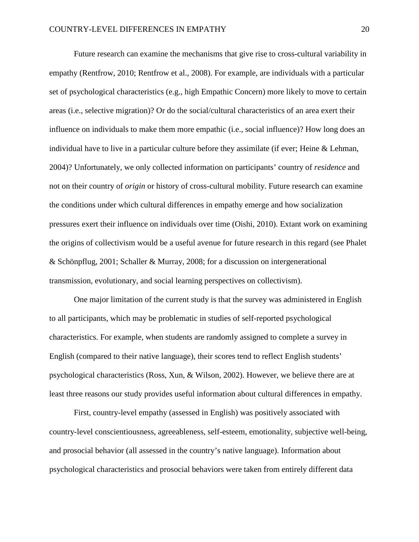Future research can examine the mechanisms that give rise to cross-cultural variability in empathy [\(Rentfrow, 2010;](#page-30-6) [Rentfrow et al., 2008\)](#page-30-1). For example, are individuals with a particular set of psychological characteristics (e.g., high Empathic Concern) more likely to move to certain areas (i.e., selective migration)? Or do the social/cultural characteristics of an area exert their influence on individuals to make them more empathic (i.e., social influence)? How long does an individual have to live in a particular culture before they assimilate [\(if ever; Heine & Lehman,](#page-27-6)  [2004\)](#page-27-6)? Unfortunately, we only collected information on participants' country of *residence* and not on their country of *origin* or history of cross-cultural mobility. Future research can examine the conditions under which cultural differences in empathy emerge and how socialization pressures exert their influence on individuals over time [\(Oishi, 2010\)](#page-29-6). Extant work on examining the origins of collectivism would be a useful avenue for future research in this regard (see [Phalet](#page-29-7)  [& Schönpflug, 2001;](#page-29-7) [Schaller & Murray, 2008; for a discussion on intergenerational](#page-30-2)  [transmission, evolutionary, and social learning perspectives on collectivism\)](#page-30-2).

One major limitation of the current study is that the survey was administered in English to all participants, which may be problematic in studies of self-reported psychological characteristics. For example, when students are randomly assigned to complete a survey in English (compared to their native language), their scores tend to reflect English students' psychological characteristics [\(Ross, Xun, & Wilson, 2002\)](#page-30-7). However, we believe there are at least three reasons our study provides useful information about cultural differences in empathy.

First, country-level empathy (assessed in English) was positively associated with country-level conscientiousness, agreeableness, self-esteem, emotionality, subjective well-being, and prosocial behavior (all assessed in the country's native language). Information about psychological characteristics and prosocial behaviors were taken from entirely different data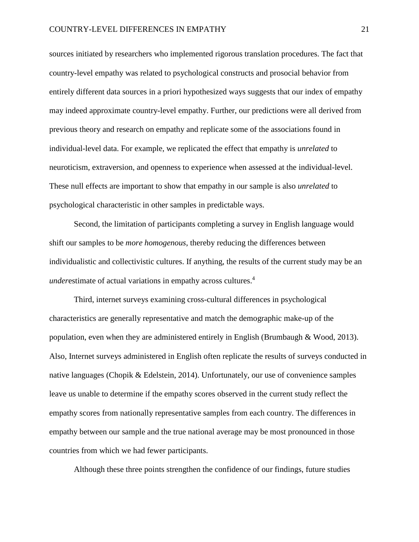sources initiated by researchers who implemented rigorous translation procedures. The fact that country-level empathy was related to psychological constructs and prosocial behavior from entirely different data sources in a priori hypothesized ways suggests that our index of empathy may indeed approximate country-level empathy. Further, our predictions were all derived from previous theory and research on empathy and replicate some of the associations found in individual-level data. For example, we replicated the effect that empathy is *unrelated* to neuroticism, extraversion, and openness to experience when assessed at the individual-level. These null effects are important to show that empathy in our sample is also *unrelated* to psychological characteristic in other samples in predictable ways.

Second, the limitation of participants completing a survey in English language would shift our samples to be *more homogenous*, thereby reducing the differences between individualistic and collectivistic cultures. If anything, the results of the current study may be an *underestimate of actual variations in empathy across cultures.*<sup>4</sup>

Third, internet surveys examining cross-cultural differences in psychological characteristics are generally representative and match the demographic make-up of the population, even when they are administered entirely in English [\(Brumbaugh & Wood, 2013\)](#page-24-7). Also, Internet surveys administered in English often replicate the results of surveys conducted in native languages [\(Chopik & Edelstein, 2014\)](#page-24-8). Unfortunately, our use of convenience samples leave us unable to determine if the empathy scores observed in the current study reflect the empathy scores from nationally representative samples from each country. The differences in empathy between our sample and the true national average may be most pronounced in those countries from which we had fewer participants.

Although these three points strengthen the confidence of our findings, future studies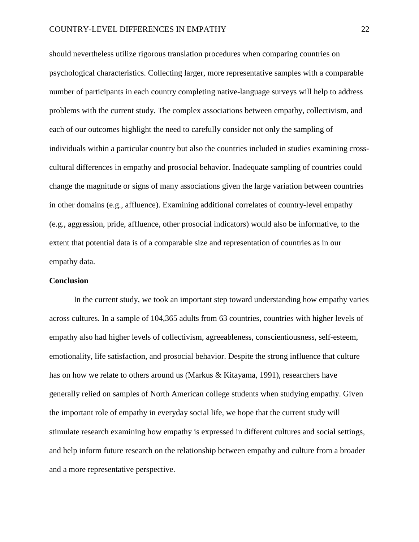## COUNTRY-LEVEL DIFFERENCES IN EMPATHY 22

should nevertheless utilize rigorous translation procedures when comparing countries on psychological characteristics. Collecting larger, more representative samples with a comparable number of participants in each country completing native-language surveys will help to address problems with the current study. The complex associations between empathy, collectivism, and each of our outcomes highlight the need to carefully consider not only the sampling of individuals within a particular country but also the countries included in studies examining crosscultural differences in empathy and prosocial behavior. Inadequate sampling of countries could change the magnitude or signs of many associations given the large variation between countries in other domains (e.g., affluence). Examining additional correlates of country-level empathy (e.g., aggression, pride, affluence, other prosocial indicators) would also be informative, to the extent that potential data is of a comparable size and representation of countries as in our empathy data.

## **Conclusion**

In the current study, we took an important step toward understanding how empathy varies across cultures. In a sample of 104,365 adults from 63 countries, countries with higher levels of empathy also had higher levels of collectivism, agreeableness, conscientiousness, self-esteem, emotionality, life satisfaction, and prosocial behavior. Despite the strong influence that culture has on how we relate to others around us [\(Markus & Kitayama, 1991\)](#page-29-1), researchers have generally relied on samples of North American college students when studying empathy. Given the important role of empathy in everyday social life, we hope that the current study will stimulate research examining how empathy is expressed in different cultures and social settings, and help inform future research on the relationship between empathy and culture from a broader and a more representative perspective.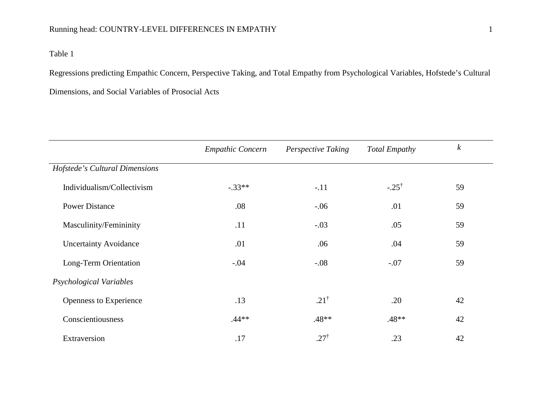# Running head: COUNTRY-LEVEL DIFFERENCES IN EMPATHY 1

# Table 1

Regressions predicting Empathic Concern, Perspective Taking, and Total Empathy from Psychological Variables, Hofstede's Cultural Dimensions, and Social Variables of Prosocial Acts

|                                | <b>Empathic Concern</b> | <b>Perspective Taking</b> | <b>Total Empathy</b> | $\boldsymbol{k}$ |  |
|--------------------------------|-------------------------|---------------------------|----------------------|------------------|--|
| Hofstede's Cultural Dimensions |                         |                           |                      |                  |  |
| Individualism/Collectivism     | $-.33**$                | $-.11$                    | $-.25^{\dagger}$     | 59               |  |
| <b>Power Distance</b>          | .08                     | $-.06$                    | .01                  | 59               |  |
| Masculinity/Femininity         | .11                     | $-.03$                    | .05                  | 59               |  |
| <b>Uncertainty Avoidance</b>   | .01                     | .06                       | .04                  | 59               |  |
| Long-Term Orientation          | $-.04$                  | $-.08$                    | $-.07$               | 59               |  |
| Psychological Variables        |                         |                           |                      |                  |  |
| Openness to Experience         | .13                     | $.21^{\dagger}$           | .20                  | 42               |  |
| Conscientiousness              | $.44**$                 | $.48**$                   | $.48**$              | 42               |  |
| Extraversion                   | .17                     | $.27^{\dagger}$           | .23                  | 42               |  |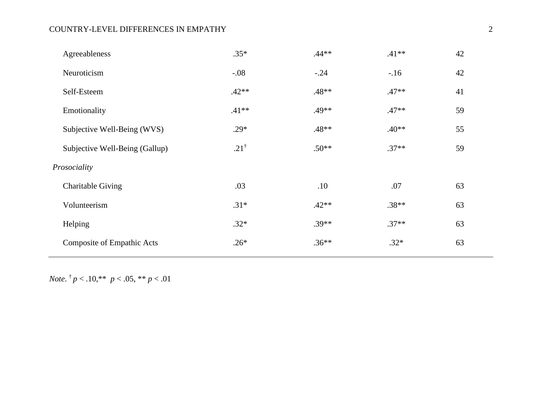# COUNTRY-LEVEL DIFFERENCES IN EMPATHY 2

| Agreeableness                     | $.35*$          | $.44**$ | $.41**$ | 42 |  |
|-----------------------------------|-----------------|---------|---------|----|--|
| Neuroticism                       | $-.08$          | $-.24$  | $-.16$  | 42 |  |
| Self-Esteem                       | $.42**$         | $.48**$ | $.47**$ | 41 |  |
| Emotionality                      | $.41**$         | $.49**$ | $.47**$ | 59 |  |
| Subjective Well-Being (WVS)       | $.29*$          | .48**   | $.40**$ | 55 |  |
| Subjective Well-Being (Gallup)    | $.21^{\dagger}$ | $.50**$ | $.37**$ | 59 |  |
| Prosociality                      |                 |         |         |    |  |
| <b>Charitable Giving</b>          | .03             | .10     | .07     | 63 |  |
| Volunteerism                      | $.31*$          | $.42**$ | $.38**$ | 63 |  |
| Helping                           | $.32*$          | $.39**$ | $.37**$ | 63 |  |
| <b>Composite of Empathic Acts</b> | $.26*$          | $.36**$ | $.32*$  | 63 |  |
|                                   |                 |         |         |    |  |

*Note.*  $\frac{1}{p}$  < .10,\*\* *p* < .05, \*\* *p* < .01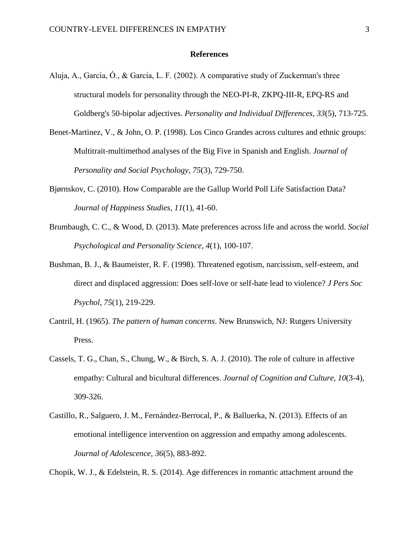## **References**

- <span id="page-24-2"></span>Aluja, A., García, O., & García, L. F. (2002). A comparative study of Zuckerman's three structural models for personality through the NEO-PI-R, ZKPQ-III-R, EPQ-RS and Goldberg's 50-bipolar adjectives. *Personality and Individual Differences, 33*(5), 713-725.
- <span id="page-24-4"></span>Benet-Martinez, V., & John, O. P. (1998). Los Cinco Grandes across cultures and ethnic groups: Multitrait-multimethod analyses of the Big Five in Spanish and English. *Journal of Personality and Social Psychology, 75*(3), 729-750.
- <span id="page-24-6"></span>Bjørnskov, C. (2010). How Comparable are the Gallup World Poll Life Satisfaction Data? *Journal of Happiness Studies, 11*(1), 41-60.
- <span id="page-24-7"></span>Brumbaugh, C. C., & Wood, D. (2013). Mate preferences across life and across the world. *Social Psychological and Personality Science, 4*(1), 100-107.
- <span id="page-24-3"></span>Bushman, B. J., & Baumeister, R. F. (1998). Threatened egotism, narcissism, self-esteem, and direct and displaced aggression: Does self-love or self-hate lead to violence? *J Pers Soc Psychol, 75*(1), 219-229.
- <span id="page-24-5"></span>Cantril, H. (1965). *The pattern of human concerns*. New Brunswich, NJ: Rutgers University Press.
- <span id="page-24-1"></span>Cassels, T. G., Chan, S., Chung, W., & Birch, S. A. J. (2010). The role of culture in affective empathy: Cultural and bicultural differences. *Journal of Cognition and Culture, 10*(3-4), 309-326.
- <span id="page-24-0"></span>Castillo, R., Salguero, J. M., Fernández-Berrocal, P., & Balluerka, N. (2013). Effects of an emotional intelligence intervention on aggression and empathy among adolescents. *Journal of Adolescence, 36*(5), 883-892.

<span id="page-24-8"></span>Chopik, W. J., & Edelstein, R. S. (2014). Age differences in romantic attachment around the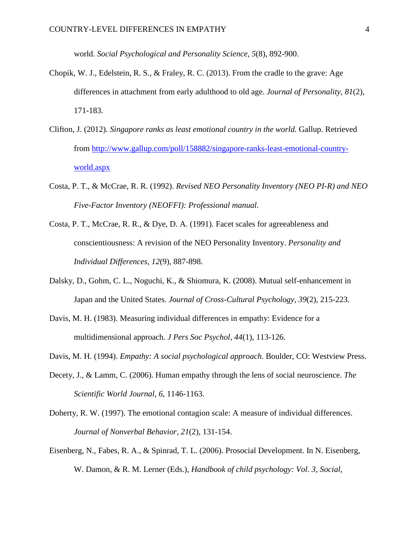world. *Social Psychological and Personality Science, 5*(8), 892-900.

- <span id="page-25-8"></span>Chopik, W. J., Edelstein, R. S., & Fraley, R. C. (2013). From the cradle to the grave: Age differences in attachment from early adulthood to old age. *Journal of Personality, 81*(2), 171-183.
- <span id="page-25-9"></span>Clifton, J. (2012). *Singapore ranks as least emotional country in the world.* Gallup. Retrieved from [http://www.gallup.com/poll/158882/singapore-ranks-least-emotional-country](http://www.gallup.com/poll/158882/singapore-ranks-least-emotional-country-world.aspx)[world.aspx](http://www.gallup.com/poll/158882/singapore-ranks-least-emotional-country-world.aspx)
- <span id="page-25-6"></span>Costa, P. T., & McCrae, R. R. (1992). *Revised NEO Personality Inventory (NEO PI-R) and NEO Five-Factor Inventory (NEOFFI): Professional manual*.
- <span id="page-25-5"></span>Costa, P. T., McCrae, R. R., & Dye, D. A. (1991). Facet scales for agreeableness and conscientiousness: A revision of the NEO Personality Inventory. *Personality and Individual Differences, 12*(9), 887-898.
- <span id="page-25-4"></span>Dalsky, D., Gohm, C. L., Noguchi, K., & Shiomura, K. (2008). Mutual self-enhancement in Japan and the United States. *Journal of Cross-Cultural Psychology, 39*(2), 215-223.
- <span id="page-25-3"></span>Davis, M. H. (1983). Measuring individual differences in empathy: Evidence for a multidimensional approach. *J Pers Soc Psychol, 44*(1), 113-126.
- <span id="page-25-1"></span>Davis, M. H. (1994). *Empathy: A social psychological approach*. Boulder, CO: Westview Press.
- <span id="page-25-0"></span>Decety, J., & Lamm, C. (2006). Human empathy through the lens of social neuroscience. *The Scientific World Journal, 6*, 1146-1163.
- <span id="page-25-7"></span>Doherty, R. W. (1997). The emotional contagion scale: A measure of individual differences. *Journal of Nonverbal Behavior, 21*(2), 131-154.
- <span id="page-25-2"></span>Eisenberg, N., Fabes, R. A., & Spinrad, T. L. (2006). Prosocial Development. In N. Eisenberg, W. Damon, & R. M. Lerner (Eds.), *Handbook of child psychology: Vol. 3, Social,*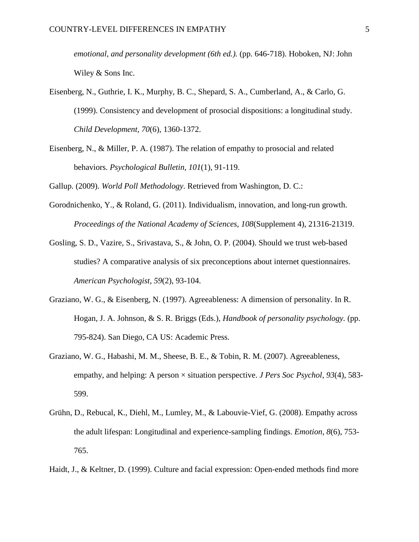*emotional, and personality development (6th ed.).* (pp. 646-718). Hoboken, NJ: John Wiley & Sons Inc.

- <span id="page-26-1"></span>Eisenberg, N., Guthrie, I. K., Murphy, B. C., Shepard, S. A., Cumberland, A., & Carlo, G. (1999). Consistency and development of prosocial dispositions: a longitudinal study. *Child Development, 70*(6), 1360-1372.
- <span id="page-26-5"></span>Eisenberg, N., & Miller, P. A. (1987). The relation of empathy to prosocial and related behaviors. *Psychological Bulletin, 101*(1), 91-119.

<span id="page-26-7"></span>Gallup. (2009). *World Poll Methodology*. Retrieved from Washington, D. C.:

- <span id="page-26-8"></span>Gorodnichenko, Y., & Roland, G. (2011). Individualism, innovation, and long-run growth. *Proceedings of the National Academy of Sciences, 108*(Supplement 4), 21316-21319.
- <span id="page-26-6"></span>Gosling, S. D., Vazire, S., Srivastava, S., & John, O. P. (2004). Should we trust web-based studies? A comparative analysis of six preconceptions about internet questionnaires. *American Psychologist, 59*(2), 93-104.
- <span id="page-26-3"></span>Graziano, W. G., & Eisenberg, N. (1997). Agreeableness: A dimension of personality. In R. Hogan, J. A. Johnson, & S. R. Briggs (Eds.), *Handbook of personality psychology.* (pp. 795-824). San Diego, CA US: Academic Press.
- <span id="page-26-4"></span>Graziano, W. G., Habashi, M. M., Sheese, B. E., & Tobin, R. M. (2007). Agreeableness, empathy, and helping: A person × situation perspective. *J Pers Soc Psychol, 93*(4), 583- 599.
- <span id="page-26-0"></span>Grühn, D., Rebucal, K., Diehl, M., Lumley, M., & Labouvie-Vief, G. (2008). Empathy across the adult lifespan: Longitudinal and experience-sampling findings. *Emotion, 8*(6), 753- 765.
- <span id="page-26-2"></span>Haidt, J., & Keltner, D. (1999). Culture and facial expression: Open-ended methods find more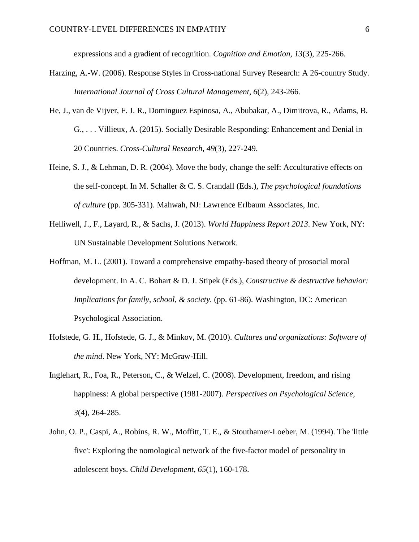expressions and a gradient of recognition. *Cognition and Emotion, 13*(3), 225-266.

- <span id="page-27-2"></span>Harzing, A.-W. (2006). Response Styles in Cross-national Survey Research: A 26-country Study. *International Journal of Cross Cultural Management, 6*(2), 243-266.
- <span id="page-27-7"></span>He, J., van de Vijver, F. J. R., Dominguez Espinosa, A., Abubakar, A., Dimitrova, R., Adams, B. G., . . . Villieux, A. (2015). Socially Desirable Responding: Enhancement and Denial in 20 Countries. *Cross-Cultural Research, 49*(3), 227-249.
- <span id="page-27-6"></span>Heine, S. J., & Lehman, D. R. (2004). Move the body, change the self: Acculturative effects on the self-concept. In M. Schaller & C. S. Crandall (Eds.), *The psychological foundations of culture* (pp. 305-331). Mahwah, NJ: Lawrence Erlbaum Associates, Inc.
- <span id="page-27-4"></span>Helliwell, J., F., Layard, R., & Sachs, J. (2013). *World Happiness Report 2013*. New York, NY: UN Sustainable Development Solutions Network.
- <span id="page-27-1"></span>Hoffman, M. L. (2001). Toward a comprehensive empathy-based theory of prosocial moral development. In A. C. Bohart & D. J. Stipek (Eds.), *Constructive & destructive behavior: Implications for family, school, & society.* (pp. 61-86). Washington, DC: American Psychological Association.
- <span id="page-27-3"></span>Hofstede, G. H., Hofstede, G. J., & Minkov, M. (2010). *Cultures and organizations: Software of the mind*. New York, NY: McGraw-Hill.
- <span id="page-27-5"></span>Inglehart, R., Foa, R., Peterson, C., & Welzel, C. (2008). Development, freedom, and rising happiness: A global perspective (1981-2007). *Perspectives on Psychological Science, 3*(4), 264-285.
- <span id="page-27-0"></span>John, O. P., Caspi, A., Robins, R. W., Moffitt, T. E., & Stouthamer-Loeber, M. (1994). The 'little five': Exploring the nomological network of the five-factor model of personality in adolescent boys. *Child Development, 65*(1), 160-178.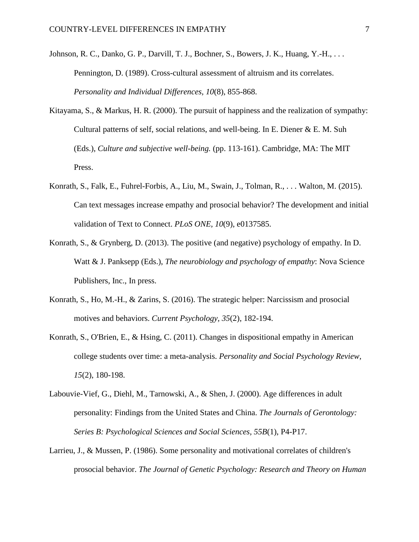- <span id="page-28-7"></span>Johnson, R. C., Danko, G. P., Darvill, T. J., Bochner, S., Bowers, J. K., Huang, Y.-H., . . . Pennington, D. (1989). Cross-cultural assessment of altruism and its correlates. *Personality and Individual Differences, 10*(8), 855-868.
- <span id="page-28-4"></span>Kitayama, S., & Markus, H. R. (2000). The pursuit of happiness and the realization of sympathy: Cultural patterns of self, social relations, and well-being. In E. Diener & E. M. Suh (Eds.), *Culture and subjective well-being.* (pp. 113-161). Cambridge, MA: The MIT Press.
- <span id="page-28-2"></span>Konrath, S., Falk, E., Fuhrel-Forbis, A., Liu, M., Swain, J., Tolman, R., . . . Walton, M. (2015). Can text messages increase empathy and prosocial behavior? The development and initial validation of Text to Connect. *PLoS ONE, 10*(9), e0137585.
- <span id="page-28-0"></span>Konrath, S., & Grynberg, D. (2013). The positive (and negative) psychology of empathy. In D. Watt & J. Panksepp (Eds.), *The neurobiology and psychology of empathy*: Nova Science Publishers, Inc., In press.
- <span id="page-28-1"></span>Konrath, S., Ho, M.-H., & Zarins, S. (2016). The strategic helper: Narcissism and prosocial motives and behaviors. *Current Psychology, 35*(2), 182-194.
- <span id="page-28-3"></span>Konrath, S., O'Brien, E., & Hsing, C. (2011). Changes in dispositional empathy in American college students over time: a meta-analysis. *Personality and Social Psychology Review, 15*(2), 180-198.
- <span id="page-28-5"></span>Labouvie-Vief, G., Diehl, M., Tarnowski, A., & Shen, J. (2000). Age differences in adult personality: Findings from the United States and China. *The Journals of Gerontology: Series B: Psychological Sciences and Social Sciences, 55B*(1), P4-P17.
- <span id="page-28-6"></span>Larrieu, J., & Mussen, P. (1986). Some personality and motivational correlates of children's prosocial behavior. *The Journal of Genetic Psychology: Research and Theory on Human*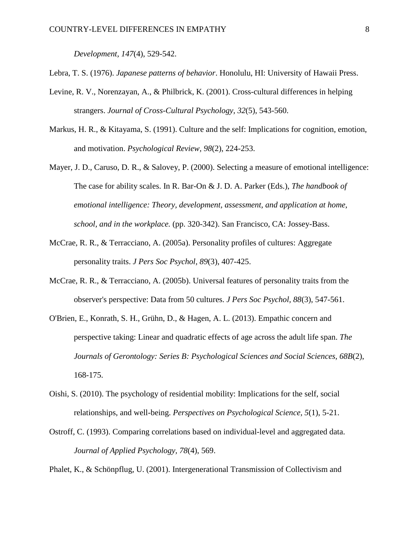*Development, 147*(4), 529-542.

<span id="page-29-4"></span>Lebra, T. S. (1976). *Japanese patterns of behavior*. Honolulu, HI: University of Hawaii Press.

- <span id="page-29-5"></span>Levine, R. V., Norenzayan, A., & Philbrick, K. (2001). Cross-cultural differences in helping strangers. *Journal of Cross-Cultural Psychology, 32*(5), 543-560.
- <span id="page-29-1"></span>Markus, H. R., & Kitayama, S. (1991). Culture and the self: Implications for cognition, emotion, and motivation. *Psychological Review, 98*(2), 224-253.
- <span id="page-29-0"></span>Mayer, J. D., Caruso, D. R., & Salovey, P. (2000). Selecting a measure of emotional intelligence: The case for ability scales. In R. Bar-On & J. D. A. Parker (Eds.), *The handbook of emotional intelligence: Theory, development, assessment, and application at home, school, and in the workplace.* (pp. 320-342). San Francisco, CA: Jossey-Bass.
- <span id="page-29-8"></span>McCrae, R. R., & Terracciano, A. (2005a). Personality profiles of cultures: Aggregate personality traits. *J Pers Soc Psychol, 89*(3), 407-425.
- <span id="page-29-9"></span>McCrae, R. R., & Terracciano, A. (2005b). Universal features of personality traits from the observer's perspective: Data from 50 cultures. *J Pers Soc Psychol, 88*(3), 547-561.
- <span id="page-29-2"></span>O'Brien, E., Konrath, S. H., Grühn, D., & Hagen, A. L. (2013). Empathic concern and perspective taking: Linear and quadratic effects of age across the adult life span. *The Journals of Gerontology: Series B: Psychological Sciences and Social Sciences, 68B*(2), 168-175.
- <span id="page-29-6"></span>Oishi, S. (2010). The psychology of residential mobility: Implications for the self, social relationships, and well-being. *Perspectives on Psychological Science, 5*(1), 5-21.
- <span id="page-29-3"></span>Ostroff, C. (1993). Comparing correlations based on individual-level and aggregated data. *Journal of Applied Psychology, 78*(4), 569.

<span id="page-29-7"></span>Phalet, K., & Schönpflug, U. (2001). Intergenerational Transmission of Collectivism and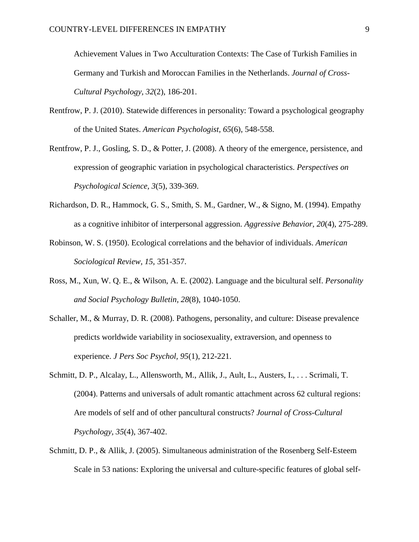Achievement Values in Two Acculturation Contexts: The Case of Turkish Families in Germany and Turkish and Moroccan Families in the Netherlands. *Journal of Cross-Cultural Psychology, 32*(2), 186-201.

- <span id="page-30-6"></span>Rentfrow, P. J. (2010). Statewide differences in personality: Toward a psychological geography of the United States. *American Psychologist, 65*(6), 548-558.
- <span id="page-30-1"></span>Rentfrow, P. J., Gosling, S. D., & Potter, J. (2008). A theory of the emergence, persistence, and expression of geographic variation in psychological characteristics. *Perspectives on Psychological Science, 3*(5), 339-369.
- <span id="page-30-0"></span>Richardson, D. R., Hammock, G. S., Smith, S. M., Gardner, W., & Signo, M. (1994). Empathy as a cognitive inhibitor of interpersonal aggression. *Aggressive Behavior, 20*(4), 275-289.
- <span id="page-30-4"></span>Robinson, W. S. (1950). Ecological correlations and the behavior of individuals. *American Sociological Review, 15*, 351-357.
- <span id="page-30-7"></span>Ross, M., Xun, W. Q. E., & Wilson, A. E. (2002). Language and the bicultural self. *Personality and Social Psychology Bulletin, 28*(8), 1040-1050.
- <span id="page-30-2"></span>Schaller, M., & Murray, D. R. (2008). Pathogens, personality, and culture: Disease prevalence predicts worldwide variability in sociosexuality, extraversion, and openness to experience. *J Pers Soc Psychol, 95*(1), 212-221.
- <span id="page-30-3"></span>Schmitt, D. P., Alcalay, L., Allensworth, M., Allik, J., Ault, L., Austers, I., . . . Scrimali, T. (2004). Patterns and universals of adult romantic attachment across 62 cultural regions: Are models of self and of other pancultural constructs? *Journal of Cross-Cultural Psychology, 35*(4), 367-402.
- <span id="page-30-5"></span>Schmitt, D. P., & Allik, J. (2005). Simultaneous administration of the Rosenberg Self-Esteem Scale in 53 nations: Exploring the universal and culture-specific features of global self-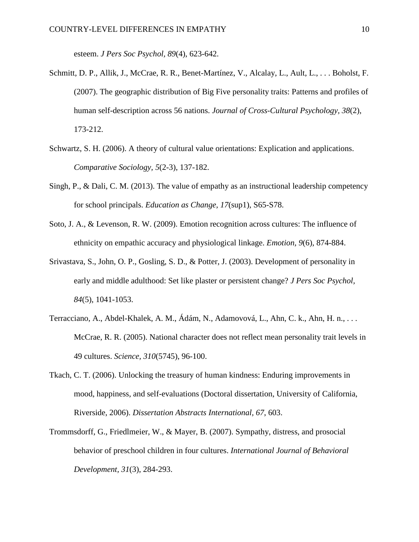esteem. *J Pers Soc Psychol, 89*(4), 623-642.

- <span id="page-31-5"></span>Schmitt, D. P., Allik, J., McCrae, R. R., Benet-Martínez, V., Alcalay, L., Ault, L., . . . Boholst, F. (2007). The geographic distribution of Big Five personality traits: Patterns and profiles of human self-description across 56 nations. *Journal of Cross-Cultural Psychology, 38*(2), 173-212.
- <span id="page-31-6"></span>Schwartz, S. H. (2006). A theory of cultural value orientations: Explication and applications. *Comparative Sociology, 5*(2-3), 137-182.
- <span id="page-31-0"></span>Singh, P., & Dali, C. M. (2013). The value of empathy as an instructional leadership competency for school principals. *Education as Change, 17*(sup1), S65-S78.
- <span id="page-31-1"></span>Soto, J. A., & Levenson, R. W. (2009). Emotion recognition across cultures: The influence of ethnicity on empathic accuracy and physiological linkage. *Emotion, 9*(6), 874-884.
- <span id="page-31-4"></span>Srivastava, S., John, O. P., Gosling, S. D., & Potter, J. (2003). Development of personality in early and middle adulthood: Set like plaster or persistent change? *J Pers Soc Psychol, 84*(5), 1041-1053.
- <span id="page-31-7"></span>Terracciano, A., Abdel-Khalek, A. M., Ádám, N., Adamovová, L., Ahn, C. k., Ahn, H. n., . . . McCrae, R. R. (2005). National character does not reflect mean personality trait levels in 49 cultures. *Science, 310*(5745), 96-100.
- <span id="page-31-3"></span>Tkach, C. T. (2006). Unlocking the treasury of human kindness: Enduring improvements in mood, happiness, and self-evaluations (Doctoral dissertation, University of California, Riverside, 2006). *Dissertation Abstracts International, 67*, 603.
- <span id="page-31-2"></span>Trommsdorff, G., Friedlmeier, W., & Mayer, B. (2007). Sympathy, distress, and prosocial behavior of preschool children in four cultures. *International Journal of Behavioral Development, 31*(3), 284-293.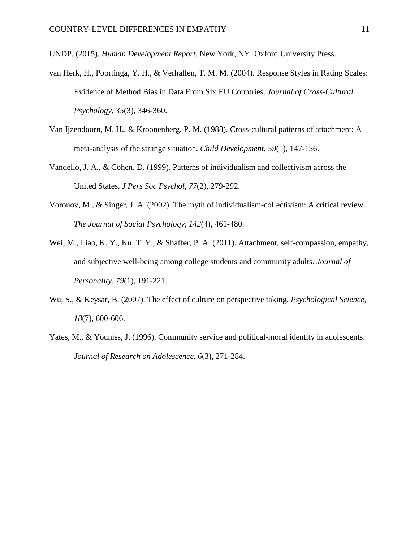<span id="page-32-7"></span>UNDP. (2015). *Human Development Report*. New York, NY: Oxford University Press.

- <span id="page-32-4"></span>van Herk, H., Poortinga, Y. H., & Verhallen, T. M. M. (2004). Response Styles in Rating Scales: Evidence of Method Bias in Data From Six EU Countries. *Journal of Cross-Cultural Psychology, 35*(3), 346-360.
- <span id="page-32-5"></span>Van Ijzendoorn, M. H., & Kroonenberg, P. M. (1988). Cross-cultural patterns of attachment: A meta-analysis of the strange situation. *Child Development, 59*(1), 147-156.
- <span id="page-32-3"></span>Vandello, J. A., & Cohen, D. (1999). Patterns of individualism and collectivism across the United States. *J Pers Soc Psychol, 77*(2), 279-292.
- <span id="page-32-6"></span>Voronov, M., & Singer, J. A. (2002). The myth of individualism-collectivism: A critical review. *The Journal of Social Psychology, 142*(4), 461-480.
- <span id="page-32-2"></span>Wei, M., Liao, K. Y., Ku, T. Y., & Shaffer, P. A. (2011). Attachment, self-compassion, empathy, and subjective well-being among college students and community adults. *Journal of Personality, 79*(1), 191-221.
- <span id="page-32-0"></span>Wu, S., & Keysar, B. (2007). The effect of culture on perspective taking. *Psychological Science, 18*(7), 600-606.
- <span id="page-32-1"></span>Yates, M., & Youniss, J. (1996). Community service and political-moral identity in adolescents. *Journal of Research on Adolescence, 6*(3), 271-284.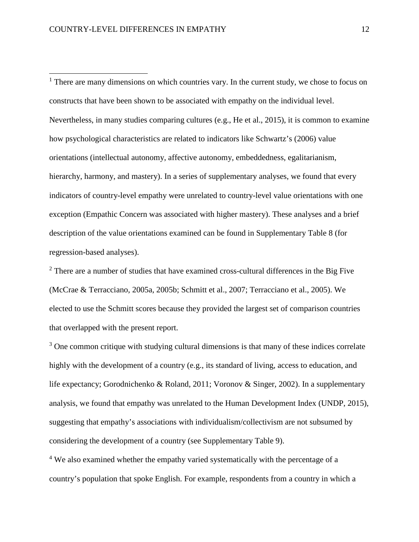$\overline{a}$ 

 $<sup>1</sup>$  There are many dimensions on which countries vary. In the current study, we chose to focus on</sup> constructs that have been shown to be associated with empathy on the individual level. Nevertheless, in many studies comparing cultures [\(e.g., He et al., 2015\)](#page-27-7), it is common to examine how psychological characteristics are related to indicators like Schwartz's [\(2006\)](#page-31-6) value orientations (intellectual autonomy, affective autonomy, embeddedness, egalitarianism, hierarchy, harmony, and mastery). In a series of supplementary analyses, we found that every indicators of country-level empathy were unrelated to country-level value orientations with one exception (Empathic Concern was associated with higher mastery). These analyses and a brief description of the value orientations examined can be found in Supplementary Table 8 (for regression-based analyses).

 $2$  There are a number of studies that have examined cross-cultural differences in the Big Five [\(McCrae & Terracciano, 2005a,](#page-29-8) [2005b;](#page-29-9) [Schmitt et al., 2007;](#page-31-5) [Terracciano et al., 2005\)](#page-31-7). We elected to use the Schmitt scores because they provided the largest set of comparison countries that overlapped with the present report.

 $3$  One common critique with studying cultural dimensions is that many of these indices correlate highly with the development of a country (e.g., its standard of living, access to education, and life expectancy; [Gorodnichenko & Roland, 2011;](#page-26-8) [Voronov & Singer, 2002\)](#page-32-6). In a supplementary analysis, we found that empathy was unrelated to the Human Development Index [\(UNDP, 2015\)](#page-32-7), suggesting that empathy's associations with individualism/collectivism are not subsumed by considering the development of a country (see Supplementary Table 9).

<sup>4</sup> We also examined whether the empathy varied systematically with the percentage of a country's population that spoke English. For example, respondents from a country in which a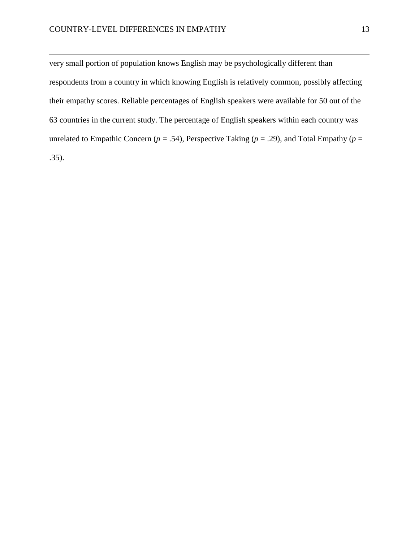l

very small portion of population knows English may be psychologically different than respondents from a country in which knowing English is relatively common, possibly affecting their empathy scores. Reliable percentages of English speakers were available for 50 out of the 63 countries in the current study. The percentage of English speakers within each country was unrelated to Empathic Concern ( $p = .54$ ), Perspective Taking ( $p = .29$ ), and Total Empathy ( $p =$ .35).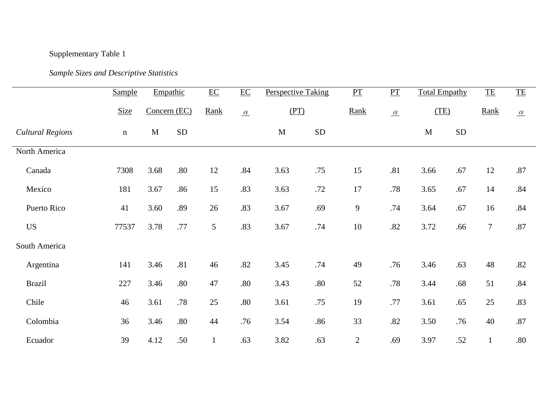# Supplementary Table 1

# *Sample Sizes and Descriptive Statistics*

|                         | <b>Sample</b> |              | Empathic   | $\underline{EC}$ | $\underline{\text{EC}}$ | <b>Perspective Taking</b> |            | $\underline{\mathbf{PT}}$ | $\underline{PT}$ | <b>Total Empathy</b> |            | $\underline{\mathsf{TE}}$ | $\underline{\mathsf{TE}}$ |
|-------------------------|---------------|--------------|------------|------------------|-------------------------|---------------------------|------------|---------------------------|------------------|----------------------|------------|---------------------------|---------------------------|
|                         | <b>Size</b>   | Concern (EC) |            | Rank             | $\alpha$                | (PT)                      |            | Rank                      | $\alpha$         | (TE)                 |            | Rank                      | $\underline{\alpha}$      |
| <b>Cultural Regions</b> | $\mathbf n$   | M            | ${\rm SD}$ |                  |                         | $\mathbf{M}$              | ${\rm SD}$ |                           |                  | M                    | ${\rm SD}$ |                           |                           |
| North America           |               |              |            |                  |                         |                           |            |                           |                  |                      |            |                           |                           |
| Canada                  | 7308          | 3.68         | .80        | 12               | .84                     | 3.63                      | .75        | 15                        | .81              | 3.66                 | .67        | 12                        | .87                       |
| Mexico                  | 181           | 3.67         | .86        | 15               | .83                     | 3.63                      | .72        | 17                        | .78              | 3.65                 | .67        | 14                        | .84                       |
| Puerto Rico             | 41            | 3.60         | .89        | 26               | .83                     | 3.67                      | .69        | 9                         | .74              | 3.64                 | .67        | 16                        | .84                       |
| <b>US</b>               | 77537         | 3.78         | .77        | 5                | .83                     | 3.67                      | .74        | 10                        | .82              | 3.72                 | .66        | $\tau$                    | .87                       |
| South America           |               |              |            |                  |                         |                           |            |                           |                  |                      |            |                           |                           |
| Argentina               | 141           | 3.46         | .81        | 46               | .82                     | 3.45                      | .74        | 49                        | .76              | 3.46                 | .63        | 48                        | .82                       |
| <b>Brazil</b>           | 227           | 3.46         | .80        | 47               | .80                     | 3.43                      | $.80\,$    | 52                        | .78              | 3.44                 | .68        | 51                        | .84                       |
| Chile                   | 46            | 3.61         | .78        | 25               | .80                     | 3.61                      | .75        | 19                        | .77              | 3.61                 | .65        | 25                        | .83                       |
| Colombia                | 36            | 3.46         | .80        | 44               | .76                     | 3.54                      | .86        | 33                        | $.82\,$          | 3.50                 | .76        | 40                        | .87                       |
| Ecuador                 | 39            | 4.12         | .50        | $\mathbf{1}$     | .63                     | 3.82                      | .63        | $\sqrt{2}$                | .69              | 3.97                 | .52        | $\mathbf{1}$              | .80                       |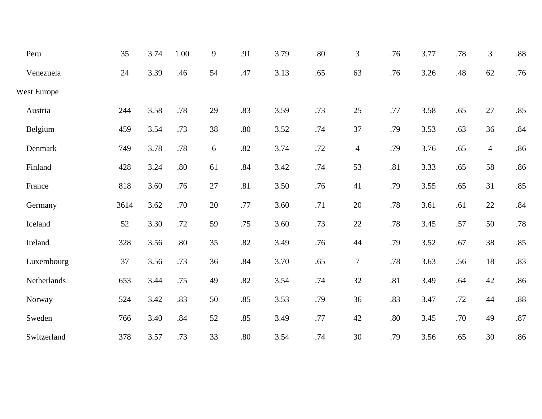| Peru        | 35   | 3.74 | 1.00    | 9  | .91 | 3.79 | .80 | 3              | .76 | 3.77 | .78 | 3              | .88     |
|-------------|------|------|---------|----|-----|------|-----|----------------|-----|------|-----|----------------|---------|
| Venezuela   | 24   | 3.39 | .46     | 54 | .47 | 3.13 | .65 | 63             | .76 | 3.26 | .48 | 62             | .76     |
| West Europe |      |      |         |    |     |      |     |                |     |      |     |                |         |
| Austria     | 244  | 3.58 | .78     | 29 | .83 | 3.59 | .73 | 25             | .77 | 3.58 | .65 | 27             | .85     |
| Belgium     | 459  | 3.54 | .73     | 38 | .80 | 3.52 | .74 | 37             | .79 | 3.53 | .63 | 36             | $.84\,$ |
| Denmark     | 749  | 3.78 | .78     | 6  | .82 | 3.74 | .72 | $\overline{4}$ | .79 | 3.76 | .65 | $\overline{4}$ | .86     |
| Finland     | 428  | 3.24 | .80     | 61 | .84 | 3.42 | .74 | 53             | .81 | 3.33 | .65 | 58             | .86     |
| France      | 818  | 3.60 | .76     | 27 | .81 | 3.50 | .76 | 41             | .79 | 3.55 | .65 | 31             | .85     |
| Germany     | 3614 | 3.62 | .70     | 20 | .77 | 3.60 | .71 | $20\,$         | .78 | 3.61 | .61 | 22             | .84     |
| Iceland     | 52   | 3.30 | .72     | 59 | .75 | 3.60 | .73 | $22\,$         | .78 | 3.45 | .57 | 50             | .78     |
| Ireland     | 328  | 3.56 | $.80\,$ | 35 | .82 | 3.49 | .76 | $44$           | .79 | 3.52 | .67 | 38             | .85     |
| Luxembourg  | 37   | 3.56 | .73     | 36 | .84 | 3.70 | .65 | $\overline{7}$ | .78 | 3.63 | .56 | 18             | .83     |
| Netherlands | 653  | 3.44 | .75     | 49 | .82 | 3.54 | .74 | 32             | .81 | 3.49 | .64 | 42             | .86     |
| Norway      | 524  | 3.42 | .83     | 50 | .85 | 3.53 | .79 | 36             | .83 | 3.47 | .72 | 44             | $.88\,$ |
| Sweden      | 766  | 3.40 | .84     | 52 | .85 | 3.49 | .77 | $42\,$         | .80 | 3.45 | .70 | 49             | .87     |
| Switzerland | 378  | 3.57 | .73     | 33 | .80 | 3.54 | .74 | 30             | .79 | 3.56 | .65 | 30             | .86     |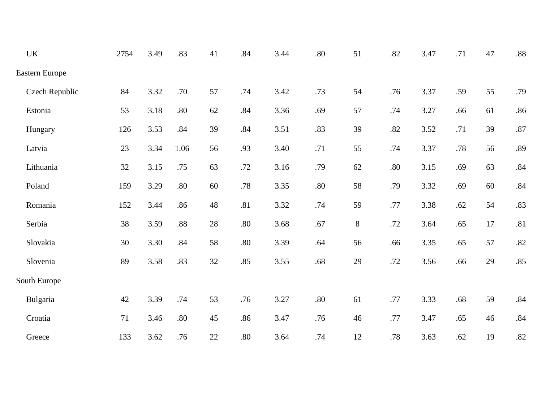| $\ensuremath{\text{UK}}\xspace$ | 2754 | 3.49 | .83  | 41 | .84 | 3.44 | .80     | 51 | .82     | 3.47 | .71 | 47 | $.88\,$ |
|---------------------------------|------|------|------|----|-----|------|---------|----|---------|------|-----|----|---------|
| Eastern Europe                  |      |      |      |    |     |      |         |    |         |      |     |    |         |
| Czech Republic                  | 84   | 3.32 | .70  | 57 | .74 | 3.42 | .73     | 54 | .76     | 3.37 | .59 | 55 | .79     |
| Estonia                         | 53   | 3.18 | .80  | 62 | .84 | 3.36 | .69     | 57 | .74     | 3.27 | .66 | 61 | .86     |
| Hungary                         | 126  | 3.53 | .84  | 39 | .84 | 3.51 | .83     | 39 | .82     | 3.52 | .71 | 39 | .87     |
| Latvia                          | 23   | 3.34 | 1.06 | 56 | .93 | 3.40 | .71     | 55 | .74     | 3.37 | .78 | 56 | .89     |
| Lithuania                       | 32   | 3.15 | .75  | 63 | .72 | 3.16 | .79     | 62 | .80     | 3.15 | .69 | 63 | $.84\,$ |
| Poland                          | 159  | 3.29 | .80  | 60 | .78 | 3.35 | $.80\,$ | 58 | .79     | 3.32 | .69 | 60 | .84     |
| Romania                         | 152  | 3.44 | .86  | 48 | .81 | 3.32 | .74     | 59 | .77     | 3.38 | .62 | 54 | .83     |
| Serbia                          | 38   | 3.59 | .88  | 28 | .80 | 3.68 | .67     | 8  | .72     | 3.64 | .65 | 17 | .81     |
| Slovakia                        | 30   | 3.30 | .84  | 58 | .80 | 3.39 | .64     | 56 | .66     | 3.35 | .65 | 57 | .82     |
| Slovenia                        | 89   | 3.58 | .83  | 32 | .85 | 3.55 | .68     | 29 | .72     | 3.56 | .66 | 29 | .85     |
| South Europe                    |      |      |      |    |     |      |         |    |         |      |     |    |         |
| Bulgaria                        | 42   | 3.39 | .74  | 53 | .76 | 3.27 | $.80\,$ | 61 | .77     | 3.33 | .68 | 59 | .84     |
| Croatia                         | 71   | 3.46 | .80  | 45 | .86 | 3.47 | .76     | 46 | .77     | 3.47 | .65 | 46 | .84     |
| Greece                          | 133  | 3.62 | .76  | 22 | .80 | 3.64 | .74     | 12 | $.78\,$ | 3.63 | .62 | 19 | .82     |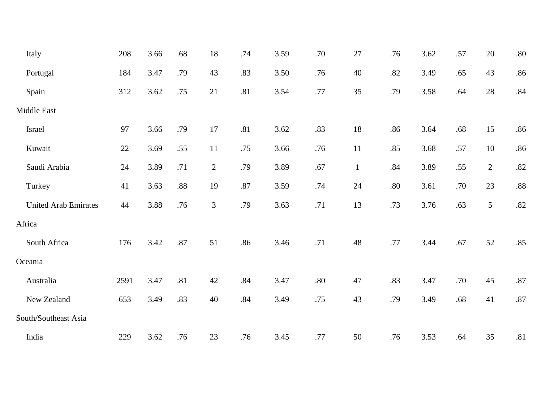| Italy                       | 208  | 3.66 | .68 | 18             | .74     | 3.59 | .70     | 27           | .76 | 3.62 | .57 | 20             | $.80\,$ |
|-----------------------------|------|------|-----|----------------|---------|------|---------|--------------|-----|------|-----|----------------|---------|
| Portugal                    | 184  | 3.47 | .79 | 43             | .83     | 3.50 | .76     | 40           | .82 | 3.49 | .65 | 43             | .86     |
| Spain                       | 312  | 3.62 | .75 | 21             | .81     | 3.54 | .77     | 35           | .79 | 3.58 | .64 | 28             | .84     |
| Middle East                 |      |      |     |                |         |      |         |              |     |      |     |                |         |
| Israel                      | 97   | 3.66 | .79 | 17             | .81     | 3.62 | .83     | 18           | .86 | 3.64 | .68 | 15             | .86     |
| Kuwait                      | 22   | 3.69 | .55 | 11             | .75     | 3.66 | .76     | 11           | .85 | 3.68 | .57 | 10             | .86     |
| Saudi Arabia                | 24   | 3.89 | .71 | $\overline{2}$ | .79     | 3.89 | .67     | $\mathbf{1}$ | .84 | 3.89 | .55 | $\overline{2}$ | $.82\,$ |
| Turkey                      | 41   | 3.63 | .88 | 19             | $.87\,$ | 3.59 | .74     | 24           | .80 | 3.61 | .70 | 23             | $.88\,$ |
| <b>United Arab Emirates</b> | 44   | 3.88 | .76 | 3              | .79     | 3.63 | .71     | 13           | .73 | 3.76 | .63 | 5              | $.82\,$ |
| Africa                      |      |      |     |                |         |      |         |              |     |      |     |                |         |
| South Africa                | 176  | 3.42 | .87 | 51             | .86     | 3.46 | .71     | 48           | .77 | 3.44 | .67 | 52             | .85     |
| Oceania                     |      |      |     |                |         |      |         |              |     |      |     |                |         |
| Australia                   | 2591 | 3.47 | .81 | 42             | .84     | 3.47 | $.80\,$ | 47           | .83 | 3.47 | .70 | 45             | $.87\,$ |
| New Zealand                 | 653  | 3.49 | .83 | 40             | .84     | 3.49 | .75     | 43           | .79 | 3.49 | .68 | 41             | $.87\,$ |
| South/Southeast Asia        |      |      |     |                |         |      |         |              |     |      |     |                |         |
| India                       | 229  | 3.62 | .76 | 23             | .76     | 3.45 | .77     | 50           | .76 | 3.53 | .64 | 35             | .81     |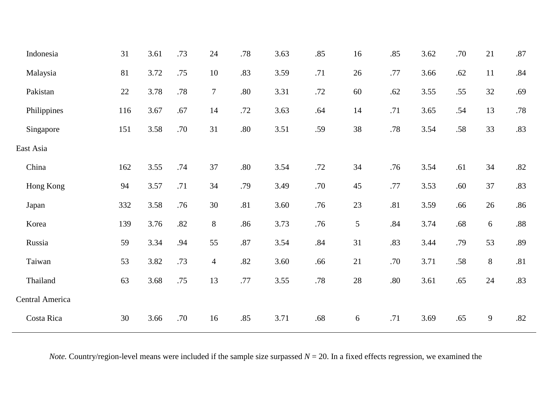| Indonesia       | 31     | 3.61 | .73 | 24               | .78 | 3.63 | .85     | 16 | .85     | 3.62 | .70 | 21 | .87     |
|-----------------|--------|------|-----|------------------|-----|------|---------|----|---------|------|-----|----|---------|
| Malaysia        | 81     | 3.72 | .75 | 10               | .83 | 3.59 | .71     | 26 | .77     | 3.66 | .62 | 11 | $.84\,$ |
| Pakistan        | $22\,$ | 3.78 | .78 | $\boldsymbol{7}$ | .80 | 3.31 | $.72\,$ | 60 | .62     | 3.55 | .55 | 32 | .69     |
| Philippines     | 116    | 3.67 | .67 | 14               | .72 | 3.63 | .64     | 14 | .71     | 3.65 | .54 | 13 | $.78\,$ |
| Singapore       | 151    | 3.58 | .70 | 31               | .80 | 3.51 | .59     | 38 | .78     | 3.54 | .58 | 33 | .83     |
| East Asia       |        |      |     |                  |     |      |         |    |         |      |     |    |         |
| China           | 162    | 3.55 | .74 | 37               | .80 | 3.54 | .72     | 34 | .76     | 3.54 | .61 | 34 | $.82\,$ |
| Hong Kong       | 94     | 3.57 | .71 | 34               | .79 | 3.49 | .70     | 45 | .77     | 3.53 | .60 | 37 | .83     |
| Japan           | 332    | 3.58 | .76 | 30               | .81 | 3.60 | .76     | 23 | .81     | 3.59 | .66 | 26 | .86     |
| Korea           | 139    | 3.76 | .82 | $8\,$            | .86 | 3.73 | .76     | 5  | $.84\,$ | 3.74 | .68 | 6  | $.88\,$ |
| Russia          | 59     | 3.34 | .94 | 55               | .87 | 3.54 | .84     | 31 | .83     | 3.44 | .79 | 53 | .89     |
| Taiwan          | 53     | 3.82 | .73 | $\overline{4}$   | .82 | 3.60 | .66     | 21 | .70     | 3.71 | .58 | 8  | .81     |
| Thailand        | 63     | 3.68 | .75 | 13               | .77 | 3.55 | .78     | 28 | $.80\,$ | 3.61 | .65 | 24 | .83     |
| Central America |        |      |     |                  |     |      |         |    |         |      |     |    |         |
| Costa Rica      | 30     | 3.66 | .70 | 16               | .85 | 3.71 | $.68$   | 6  | .71     | 3.69 | .65 | 9  | .82     |
|                 |        |      |     |                  |     |      |         |    |         |      |     |    |         |

*Note.* Country/region-level means were included if the sample size surpassed  $N = 20$ . In a fixed effects regression, we examined the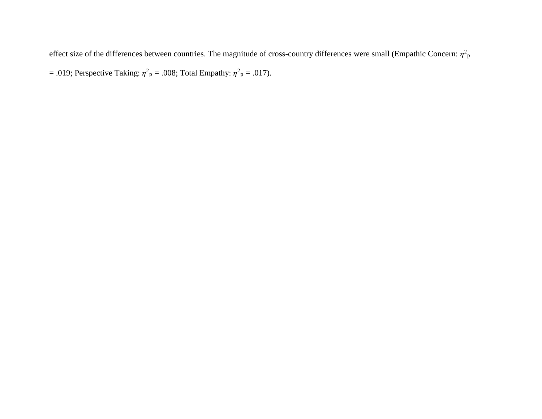effect size of the differences between countries. The magnitude of cross-country differences were small (Empathic Concern:  $\eta^2$ <sub>P</sub>  $= .019$ ; Perspective Taking:  $\eta^2$ <sub>p</sub> = .008; Total Empathy:  $\eta^2$ <sub>p</sub> = .017).